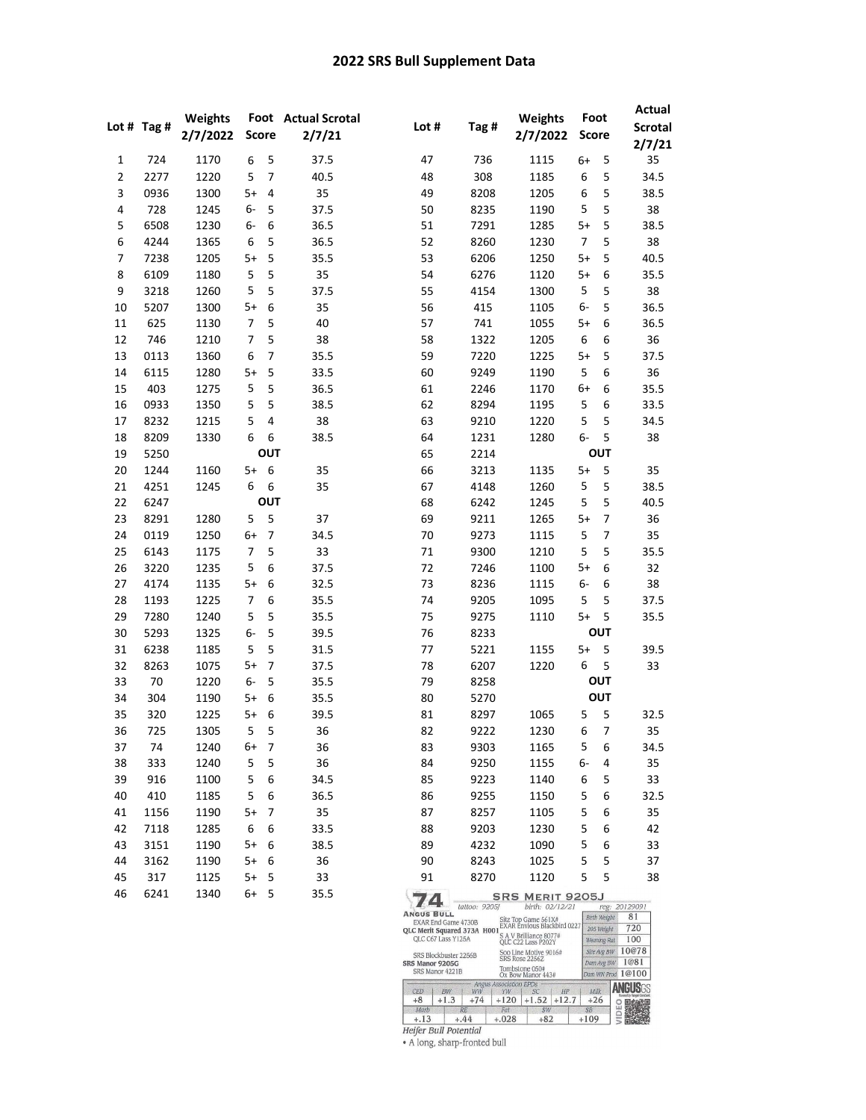## 2022 SRS Bull Supplement Data

|                | Lot $#$ Tag $#$ | Weights<br>2/7/2022 | <b>Score</b>   |                         | Foot Actual Scrotal<br>2/7/21 | Lot #                                                                          | Tag #         | Weights<br>2/7/2022                                                                             | Foot<br><b>Score</b> |                            | <b>Actual</b><br><b>Scrotal</b><br>2/7/21 |
|----------------|-----------------|---------------------|----------------|-------------------------|-------------------------------|--------------------------------------------------------------------------------|---------------|-------------------------------------------------------------------------------------------------|----------------------|----------------------------|-------------------------------------------|
| 1              | 724             | 1170                | 6              | 5                       | 37.5                          | 47                                                                             | 736           | 1115                                                                                            | 6+                   | 5                          | 35                                        |
| $\overline{2}$ | 2277            | 1220                | 5              | $\overline{7}$          | 40.5                          | 48                                                                             | 308           | 1185                                                                                            | 6                    | 5                          | 34.5                                      |
| 3              | 0936            | 1300                | $5+$           | $\sqrt{4}$              | 35                            | 49                                                                             | 8208          | 1205                                                                                            | 6                    | 5                          | 38.5                                      |
| 4              | 728             | 1245                | 6-             | 5                       | 37.5                          | 50                                                                             | 8235          | 1190                                                                                            | 5                    | 5                          | 38                                        |
| 5              | 6508            | 1230                | 6-             | 6                       | 36.5                          | 51                                                                             | 7291          | 1285                                                                                            | $5+$                 | 5                          | 38.5                                      |
| 6              | 4244            | 1365                | 6              | 5                       | 36.5                          | 52                                                                             | 8260          | 1230                                                                                            | $\overline{7}$       | 5                          | 38                                        |
| 7              | 7238            | 1205                | $5+$           | 5                       | 35.5                          | 53                                                                             | 6206          | 1250                                                                                            | $5+$                 | 5                          | 40.5                                      |
| 8              | 6109            | 1180                | 5              | 5                       | 35                            | 54                                                                             | 6276          | 1120                                                                                            | $5+$                 | 6                          | 35.5                                      |
| 9              | 3218            | 1260                | 5              | 5                       | 37.5                          | 55                                                                             | 4154          | 1300                                                                                            | 5                    | 5                          | 38                                        |
| 10             | 5207            | 1300                | $5+$           | 6                       | 35                            | 56                                                                             | 415           | 1105                                                                                            | 6-                   | 5                          | 36.5                                      |
| 11             | 625             | 1130                | $\overline{7}$ | 5                       | 40                            | 57                                                                             | 741           | 1055                                                                                            | $5+$                 | 6                          | 36.5                                      |
| 12             | 746             | 1210                | 7              | 5                       | 38                            | 58                                                                             | 1322          | 1205                                                                                            | 6                    | 6                          | 36                                        |
| 13             | 0113            | 1360                | 6              | 7                       | 35.5                          | 59                                                                             | 7220          | 1225                                                                                            | $5+$                 | 5                          | 37.5                                      |
| 14             | 6115            | 1280                | $5+$           | 5                       | 33.5                          | 60                                                                             | 9249          | 1190                                                                                            | 5                    | 6                          | 36                                        |
| 15             | 403             | 1275                | 5              | 5                       | 36.5                          | 61                                                                             | 2246          | 1170                                                                                            | 6+                   | 6                          | 35.5                                      |
| 16             | 0933            | 1350                | 5              | 5                       | 38.5                          | 62                                                                             | 8294          | 1195                                                                                            | 5                    | 6                          | 33.5                                      |
| 17             | 8232            | 1215                | 5              | $\overline{\mathbf{4}}$ | 38                            | 63                                                                             | 9210          | 1220                                                                                            | 5                    | 5                          | 34.5                                      |
| 18             | 8209            | 1330                | 6              | 6                       | 38.5                          | 64                                                                             | 1231          | 1280                                                                                            | 6-                   | 5                          | 38                                        |
| 19             | 5250            |                     |                | OUT                     |                               | 65                                                                             | 2214          |                                                                                                 |                      | OUT                        |                                           |
| 20             | 1244            | 1160                | $5+$           | 6                       | 35                            | 66                                                                             | 3213          | 1135                                                                                            | $5+$                 | 5                          | 35                                        |
| 21             | 4251            | 1245                | 6              | 6                       | 35                            | 67                                                                             | 4148          | 1260                                                                                            | 5                    | 5                          | 38.5                                      |
| 22             | 6247            |                     |                | OUT                     |                               | 68                                                                             | 6242          | 1245                                                                                            | 5                    | 5                          | 40.5                                      |
| 23             | 8291            | 1280                | 5              | 5                       | 37                            | 69                                                                             | 9211          | 1265                                                                                            | $5+$                 | 7                          | 36                                        |
| 24             | 0119            | 1250                | 6+             | $\overline{7}$          | 34.5                          | 70                                                                             | 9273          | 1115                                                                                            | 5                    | 7                          | 35                                        |
| 25             | 6143            | 1175                | $\overline{7}$ | 5                       | 33                            | 71                                                                             | 9300          | 1210                                                                                            | 5                    | 5                          | 35.5                                      |
| 26             | 3220            | 1235                | 5              | 6                       | 37.5                          | 72                                                                             | 7246          | 1100                                                                                            | $5+$                 | 6                          | 32                                        |
| 27             | 4174            | 1135                | $5+$           | 6                       | 32.5                          | 73                                                                             | 8236          | 1115                                                                                            | 6-                   | 6                          | 38                                        |
| 28             | 1193            | 1225                | $\overline{7}$ | 6                       | 35.5                          | 74                                                                             | 9205          | 1095                                                                                            | 5                    | 5                          | 37.5                                      |
| 29             | 7280            | 1240                | 5              | 5                       | 35.5                          | 75                                                                             | 9275          | 1110                                                                                            | $5+$                 | 5                          | 35.5                                      |
| 30             | 5293            | 1325                | 6-             | 5                       | 39.5                          | 76                                                                             | 8233          |                                                                                                 |                      | <b>OUT</b>                 |                                           |
| 31             | 6238            | 1185                | 5              | 5                       | 31.5                          | 77                                                                             | 5221          | 1155                                                                                            | $5+$                 | 5                          | 39.5                                      |
| 32             | 8263            | 1075                | $5+$           | $\overline{7}$          | 37.5                          | 78                                                                             | 6207          | 1220                                                                                            | 6                    | 5                          | 33                                        |
| 33             | 70              | 1220                | 6-             | 5                       | 35.5                          | 79                                                                             | 8258          |                                                                                                 |                      | <b>OUT</b>                 |                                           |
| 34             | 304             | 1190                | $5+$           | 6                       | 35.5                          | 80                                                                             | 5270          |                                                                                                 |                      | <b>OUT</b>                 |                                           |
| 35             | 320             | 1225                | $5+$           | 6                       | 39.5                          | 81                                                                             | 8297          | 1065                                                                                            | 5                    | 5                          | 32.5                                      |
| 36             | 725             | 1305                | 5              | 5                       | 36                            | 82                                                                             | 9222          | 1230                                                                                            | 6                    | 7                          | 35                                        |
| 37             | 74              | 1240                | 6+             | 7                       | 36                            | 83                                                                             | 9303          | 1165                                                                                            | 5                    | 6                          | 34.5                                      |
| 38             | 333             | 1240                | 5              | 5                       | 36                            | 84                                                                             | 9250          | 1155                                                                                            | 6-                   | 4                          | 35                                        |
| 39             | 916             | 1100                | 5              | 6                       | 34.5                          | 85                                                                             | 9223          | 1140                                                                                            | 6                    | 5                          | 33                                        |
| 40             | 410             | 1185                | 5              | 6                       | 36.5                          | 86                                                                             | 9255          | 1150                                                                                            | 5                    | 6                          | 32.5                                      |
| 41             | 1156            | 1190                | 5+             | 7                       | 35                            | 87                                                                             | 8257          | 1105                                                                                            | 5                    | 6                          | 35                                        |
| 42             | 7118            | 1285                | 6              | 6                       | 33.5                          | 88                                                                             | 9203          | 1230                                                                                            | 5                    | 6                          | 42                                        |
| 43             | 3151            | 1190                | 5+             | 6                       | 38.5                          | 89                                                                             | 4232          | 1090                                                                                            | 5                    | 6                          | 33                                        |
| 44             | 3162            | 1190                | 5+             | 6                       | 36                            | 90                                                                             | 8243          | 1025                                                                                            | 5                    | 5                          | 37                                        |
| 45             | 317             | 1125                | 5+             | 5                       | 33                            | 91                                                                             | 8270          | 1120                                                                                            | 5                    | 5                          | 38                                        |
| 46             | 6241            | 1340                | 6+             | 5                       | 35.5                          | 74.<br><b>ANGUS BULL</b><br>EXAR End Game 4730B<br>QLC Merit Squared 373A H001 | tattoo: 9205J | <b>SRS MERIT 9205J</b><br>birth: 02/12/21<br>Sitz Top Game 561X#<br>EXAR Envious Blackbird 0227 |                      | Birth Weight<br>205 Weight | reg: 20129091<br>81<br>720                |

Version 120<br>Wearing Rat 100<br>Sire Avg BW 10@78<br>Dam Avg BW 1@81 CC C67 Lass Y125A<br>
SRS Blockbuster 2256B<br>
SRS Blockbuster 2256B<br>
SRS Blockbuster 2256B<br>
SRS Blockbuster 2256B<br>
SRS Manor 4201B<br>
SRS Manor 4221B<br>
SRS Manor 4321B<br>
Tombstone 050#<br>
SRS Manor 4321B<br>
Tombstone 650#<br>
SRS Manor QLC C67 Lass Y125A S A V Brilliance 8077#<br>QLC C22 Lass P202Y